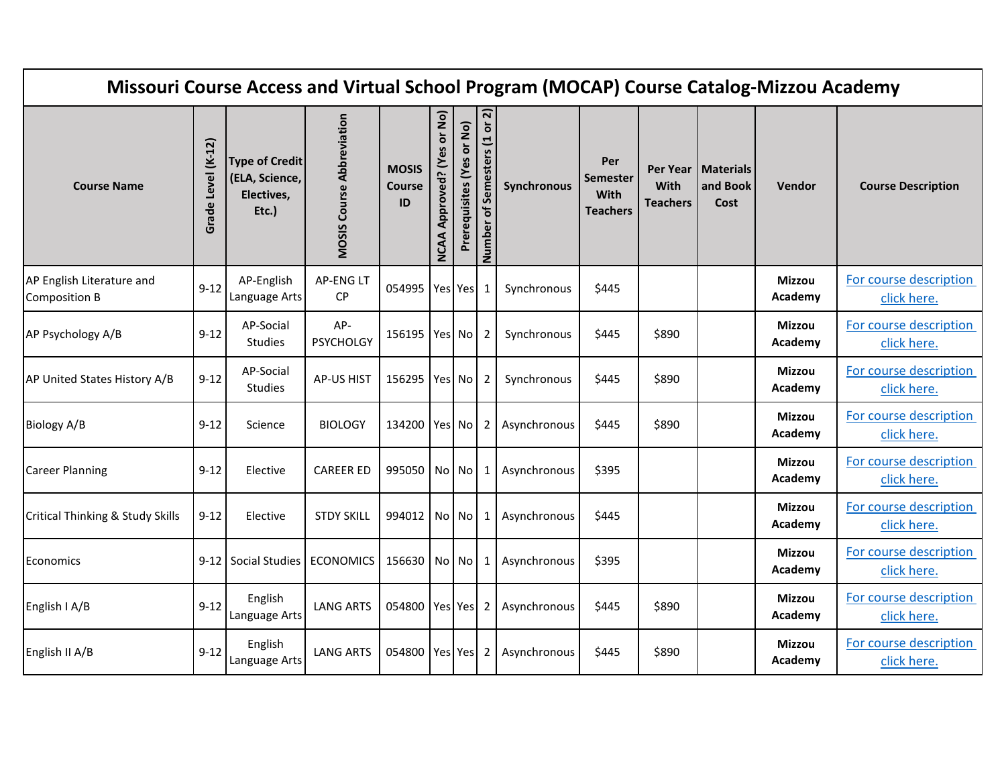| Missouri Course Access and Virtual School Program (MOCAP) Course Catalog-Mizzou Academy |                    |                                                                |                                  |                                     |                                         |                           |                              |              |                                                   |                                     |                                      |                          |                                       |
|-----------------------------------------------------------------------------------------|--------------------|----------------------------------------------------------------|----------------------------------|-------------------------------------|-----------------------------------------|---------------------------|------------------------------|--------------|---------------------------------------------------|-------------------------------------|--------------------------------------|--------------------------|---------------------------------------|
| <b>Course Name</b>                                                                      | Grade Level (K-12) | <b>Type of Credit</b><br>(ELA, Science,<br>Electives,<br>Etc.) | <b>MOSIS Course Abbreviation</b> | <b>MOSIS</b><br><b>Course</b><br>ID | or No)<br>Approved? (Yes<br><b>NCAA</b> | Prerequisites (Yes or No) | Number of Semesters (1 or 2) | Synchronous  | Per<br><b>Semester</b><br>With<br><b>Teachers</b> | Per Year<br>With<br><b>Teachers</b> | <b>Materials</b><br>and Book<br>Cost | Vendor                   | <b>Course Description</b>             |
| AP English Literature and<br><b>Composition B</b>                                       | $9 - 12$           | AP-English<br>Language Arts                                    | AP-ENG LT<br>CP                  | 054995 Yes Yes                      |                                         |                           | -1                           | Synchronous  | \$445                                             |                                     |                                      | <b>Mizzou</b><br>Academy | For course description<br>click here. |
| AP Psychology A/B                                                                       | $9 - 12$           | AP-Social<br>Studies                                           | AP-<br><b>PSYCHOLGY</b>          | 156195 Yes No                       |                                         |                           | 2                            | Synchronous  | \$445                                             | \$890                               |                                      | <b>Mizzou</b><br>Academy | For course description<br>click here. |
| AP United States History A/B                                                            | $9 - 12$           | AP-Social<br>Studies                                           | <b>AP-US HIST</b>                | 156295 Yes No                       |                                         |                           | 2                            | Synchronous  | \$445                                             | \$890                               |                                      | <b>Mizzou</b><br>Academy | For course description<br>click here. |
| Biology A/B                                                                             | $9 - 12$           | Science                                                        | <b>BIOLOGY</b>                   | 134200 Yes No                       |                                         |                           | 2                            | Asynchronous | \$445                                             | \$890                               |                                      | <b>Mizzou</b><br>Academy | For course description<br>click here. |
| <b>Career Planning</b>                                                                  | $9 - 12$           | Elective                                                       | <b>CAREER ED</b>                 | 995050 No No                        |                                         |                           | -1                           | Asynchronous | \$395                                             |                                     |                                      | <b>Mizzou</b><br>Academy | For course description<br>click here. |
| Critical Thinking & Study Skills                                                        | $9 - 12$           | Elective                                                       | <b>STDY SKILL</b>                | 994012 No No                        |                                         |                           | -1                           | Asynchronous | \$445                                             |                                     |                                      | <b>Mizzou</b><br>Academy | For course description<br>click here. |
| Economics                                                                               | $9 - 12$           | Social Studies                                                 | <b>ECONOMICS</b>                 | 156630 No No                        |                                         |                           | -1                           | Asynchronous | \$395                                             |                                     |                                      | <b>Mizzou</b><br>Academy | For course description<br>click here. |
| English I A/B                                                                           | $9 - 12$           | English<br>Language Arts                                       | <b>LANG ARTS</b>                 | 054800 Yes Yes                      |                                         |                           | 2                            | Asynchronous | \$445                                             | \$890                               |                                      | <b>Mizzou</b><br>Academy | For course description<br>click here. |
| English II A/B                                                                          | $9 - 12$           | English<br>Language Arts                                       | <b>LANG ARTS</b>                 | 054800 Yes Yes                      |                                         |                           | $\overline{2}$               | Asynchronous | \$445                                             | \$890                               |                                      | <b>Mizzou</b><br>Academy | For course description<br>click here. |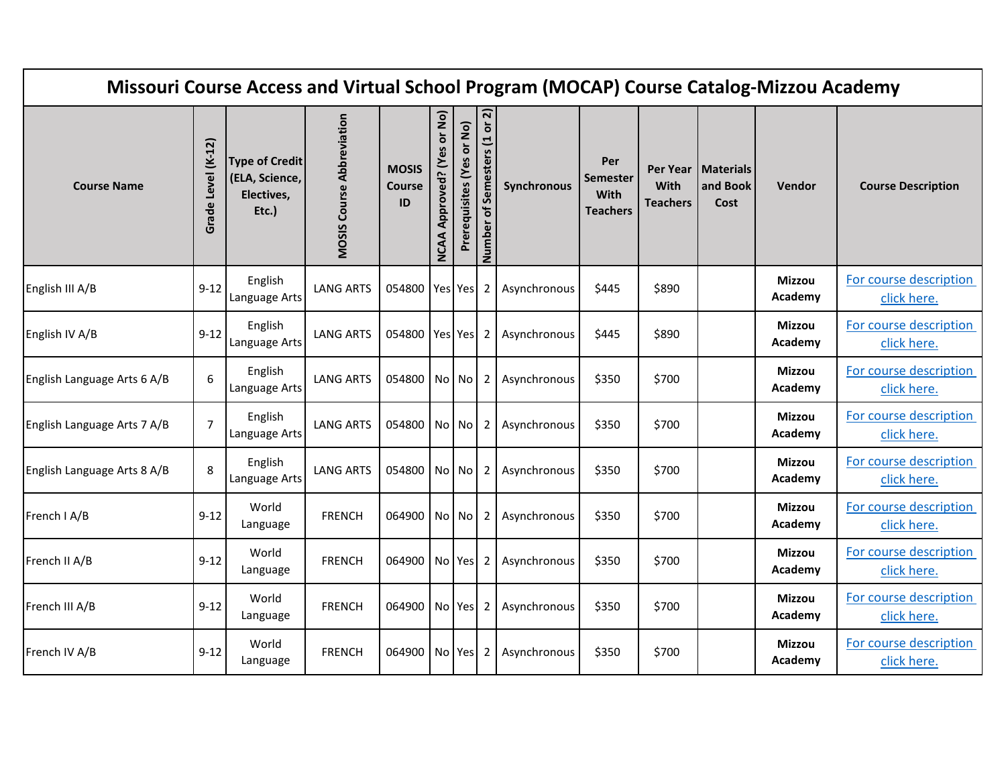| Missouri Course Access and Virtual School Program (MOCAP) Course Catalog-Mizzou Academy |                       |                                                                |                                  |                                     |                                             |                           |                              |              |                                                   |                         |                                          |                          |                                       |
|-----------------------------------------------------------------------------------------|-----------------------|----------------------------------------------------------------|----------------------------------|-------------------------------------|---------------------------------------------|---------------------------|------------------------------|--------------|---------------------------------------------------|-------------------------|------------------------------------------|--------------------------|---------------------------------------|
| <b>Course Name</b>                                                                      | Level (K-12)<br>Grade | <b>Type of Credit</b><br>(ELA, Science,<br>Electives,<br>Etc.) | <b>MOSIS Course Abbreviation</b> | <b>MOSIS</b><br><b>Course</b><br>ID | or No)<br>6S<br>Approved? (Y<br><b>NCAA</b> | Prerequisites (Yes or No) | Number of Semesters (1 or 2) | Synchronous  | Per<br><b>Semester</b><br>With<br><b>Teachers</b> | With<br><b>Teachers</b> | Per Year   Materials<br>and Book<br>Cost | Vendor                   | <b>Course Description</b>             |
| English III A/B                                                                         | $9-12$                | English<br>Language Arts                                       | <b>LANG ARTS</b>                 | 054800   Yes   Yes                  |                                             |                           | 2                            | Asynchronous | \$445                                             | \$890                   |                                          | <b>Mizzou</b><br>Academy | For course description<br>click here. |
| English IV A/B                                                                          | $9-12$                | English<br>Language Arts                                       | <b>LANG ARTS</b>                 | 054800 Yes Yes                      |                                             |                           | 2                            | Asynchronous | \$445                                             | \$890                   |                                          | <b>Mizzou</b><br>Academy | For course description<br>click here. |
| English Language Arts 6 A/B                                                             | 6                     | English<br>Language Arts                                       | <b>LANG ARTS</b>                 | 054800 No No                        |                                             |                           | 2                            | Asynchronous | \$350                                             | \$700                   |                                          | <b>Mizzou</b><br>Academy | For course description<br>click here. |
| English Language Arts 7 A/B                                                             | $\overline{7}$        | English<br>Language Arts                                       | <b>LANG ARTS</b>                 | 054800 No No                        |                                             |                           | 2                            | Asynchronous | \$350                                             | \$700                   |                                          | <b>Mizzou</b><br>Academy | For course description<br>click here. |
| English Language Arts 8 A/B                                                             | 8                     | English<br>Language Arts                                       | <b>LANG ARTS</b>                 | 054800 No No                        |                                             |                           | 2                            | Asynchronous | \$350                                             | \$700                   |                                          | <b>Mizzou</b><br>Academy | For course description<br>click here. |
| French I A/B                                                                            | $9 - 12$              | World<br>Language                                              | <b>FRENCH</b>                    | 064900 No No                        |                                             |                           | 2 <sub>1</sub>               | Asynchronous | \$350                                             | \$700                   |                                          | <b>Mizzou</b><br>Academy | For course description<br>click here. |
| French II A/B                                                                           | $9 - 12$              | World<br>Language                                              | <b>FRENCH</b>                    | 064900 No Yes                       |                                             |                           | 2                            | Asynchronous | \$350                                             | \$700                   |                                          | <b>Mizzou</b><br>Academy | For course description<br>click here. |
| French III A/B                                                                          | $9 - 12$              | World<br>Language                                              | <b>FRENCH</b>                    | 064900 No Yes                       |                                             |                           | 2                            | Asynchronous | \$350                                             | \$700                   |                                          | Mizzou<br>Academy        | For course description<br>click here. |
| French IV A/B                                                                           | $9 - 12$              | World<br>Language                                              | <b>FRENCH</b>                    | 064900   No   Yes                   |                                             |                           | 2                            | Asynchronous | \$350                                             | \$700                   |                                          | <b>Mizzou</b><br>Academy | For course description<br>click here. |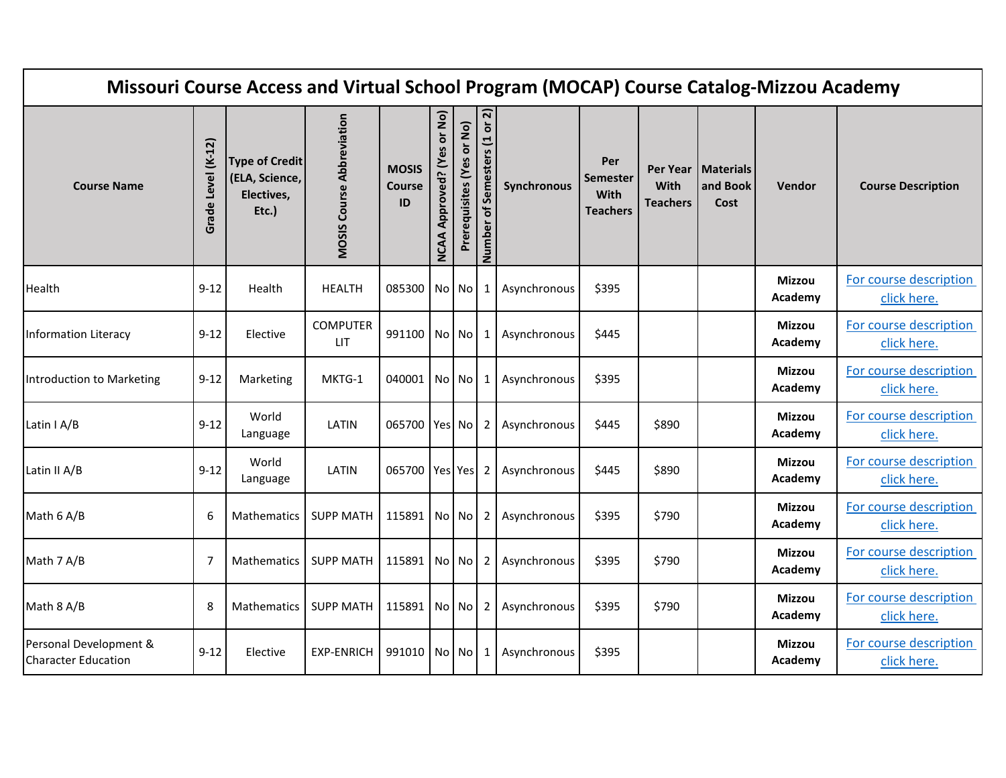| Missouri Course Access and Virtual School Program (MOCAP) Course Catalog-Mizzou Academy |                       |                                                                |                                  |                                     |                                               |                           |                              |              |                                                   |                         |                                          |                          |                                       |
|-----------------------------------------------------------------------------------------|-----------------------|----------------------------------------------------------------|----------------------------------|-------------------------------------|-----------------------------------------------|---------------------------|------------------------------|--------------|---------------------------------------------------|-------------------------|------------------------------------------|--------------------------|---------------------------------------|
| <b>Course Name</b>                                                                      | Level (K-12)<br>Grade | <b>Type of Credit</b><br>(ELA, Science,<br>Electives,<br>Etc.) | <b>MOSIS Course Abbreviation</b> | <b>MOSIS</b><br><b>Course</b><br>ID | or No)<br>မိ<br>ξ<br>Approved?<br><b>NCAA</b> | Prerequisites (Yes or No) | Number of Semesters (1 or 2) | Synchronous  | Per<br><b>Semester</b><br>With<br><b>Teachers</b> | With<br><b>Teachers</b> | Per Year   Materials<br>and Book<br>Cost | <b>Vendor</b>            | <b>Course Description</b>             |
| Health                                                                                  | $9 - 12$              | Health                                                         | <b>HEALTH</b>                    | 085300 No No                        |                                               |                           | 1                            | Asynchronous | \$395                                             |                         |                                          | <b>Mizzou</b><br>Academy | For course description<br>click here. |
| Information Literacy                                                                    | $9 - 12$              | Elective                                                       | <b>COMPUTER</b><br><b>LIT</b>    | 991100 No No                        |                                               |                           | 1                            | Asynchronous | \$445                                             |                         |                                          | <b>Mizzou</b><br>Academy | For course description<br>click here. |
| Introduction to Marketing                                                               | $9 - 12$              | Marketing                                                      | MKTG-1                           | 040001   No   No                    |                                               |                           | 1                            | Asynchronous | \$395                                             |                         |                                          | <b>Mizzou</b><br>Academy | For course description<br>click here. |
| Latin I A/B                                                                             | $9 - 12$              | World<br>Language                                              | LATIN                            | 065700 Yes No                       |                                               |                           | 2                            | Asynchronous | \$445                                             | \$890                   |                                          | <b>Mizzou</b><br>Academy | For course description<br>click here. |
| Latin II A/B                                                                            | $9 - 12$              | World<br>Language                                              | LATIN                            | 065700 Yes Yes                      |                                               |                           | $\overline{2}$               | Asynchronous | \$445                                             | \$890                   |                                          | <b>Mizzou</b><br>Academy | For course description<br>click here. |
| Math 6 A/B                                                                              | 6                     | <b>Mathematics</b>                                             | <b>SUPP MATH</b>                 | 115891 No No                        |                                               |                           | $\mathbf{2}$                 | Asynchronous | \$395                                             | \$790                   |                                          | <b>Mizzou</b><br>Academy | For course description<br>click here. |
| Math 7 A/B                                                                              | 7                     | <b>Mathematics</b>                                             | <b>SUPP MATH</b>                 | 115891 No No                        |                                               |                           | 2 <sub>1</sub>               | Asynchronous | \$395                                             | \$790                   |                                          | <b>Mizzou</b><br>Academy | For course description<br>click here. |
| Math 8 A/B                                                                              | 8                     | <b>Mathematics</b>                                             | <b>SUPP MATH</b>                 | 115891 No No                        |                                               |                           | $2 \mid$                     | Asynchronous | \$395                                             | \$790                   |                                          | <b>Mizzou</b><br>Academy | For course description<br>click here. |
| Personal Development &<br><b>Character Education</b>                                    | $9 - 12$              | Elective                                                       | <b>EXP-ENRICH</b>                | 991010 No No                        |                                               |                           | 1                            | Asynchronous | \$395                                             |                         |                                          | <b>Mizzou</b><br>Academy | For course description<br>click here. |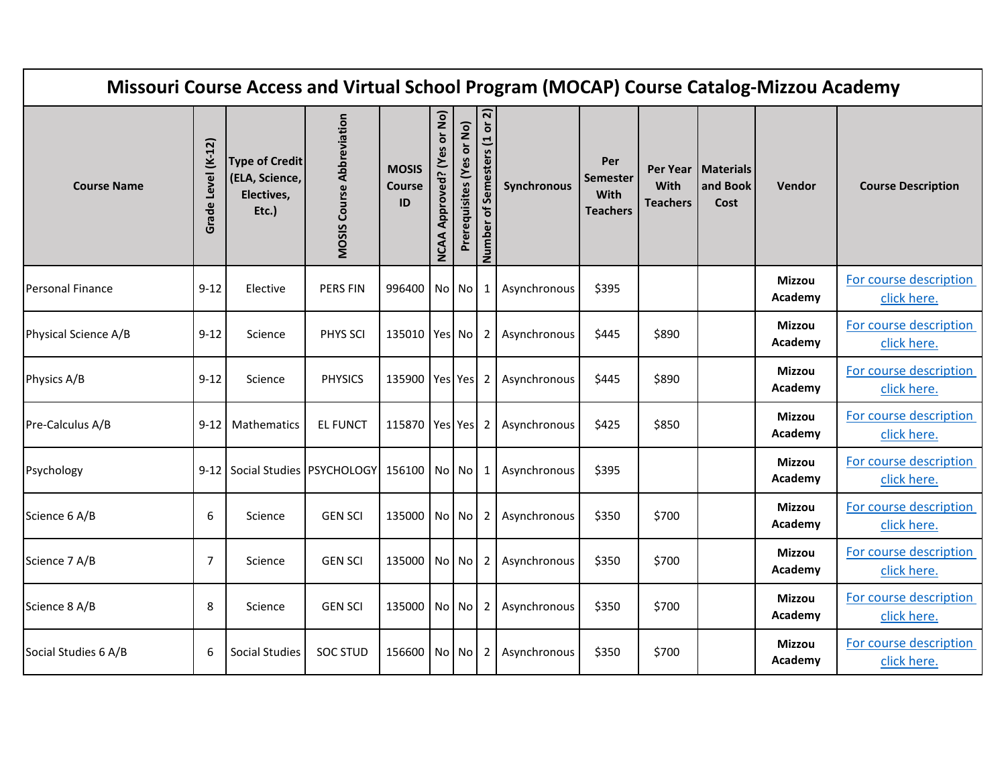| Missouri Course Access and Virtual School Program (MOCAP) Course Catalog-Mizzou Academy |                    |                                                                |                                  |                                     |                                               |                           |                              |              |                                                   |                         |                                          |                          |                                       |
|-----------------------------------------------------------------------------------------|--------------------|----------------------------------------------------------------|----------------------------------|-------------------------------------|-----------------------------------------------|---------------------------|------------------------------|--------------|---------------------------------------------------|-------------------------|------------------------------------------|--------------------------|---------------------------------------|
| <b>Course Name</b>                                                                      | Grade Level (K-12) | <b>Type of Credit</b><br>(ELA, Science,<br>Electives,<br>Etc.) | <b>MOSIS Course Abbreviation</b> | <b>MOSIS</b><br><b>Course</b><br>ID | or No)<br>မိ<br>ξ<br>Approved?<br><b>NCAA</b> | Prerequisites (Yes or No) | Number of Semesters (1 or 2) | Synchronous  | Per<br><b>Semester</b><br>With<br><b>Teachers</b> | With<br><b>Teachers</b> | Per Year   Materials<br>and Book<br>Cost | Vendor                   | <b>Course Description</b>             |
| <b>Personal Finance</b>                                                                 | $9 - 12$           | Elective                                                       | <b>PERS FIN</b>                  | 996400 No No                        |                                               |                           | 1                            | Asynchronous | \$395                                             |                         |                                          | <b>Mizzou</b><br>Academy | For course description<br>click here. |
| Physical Science A/B                                                                    | $9 - 12$           | Science                                                        | PHYS SCI                         | 135010 Yes No                       |                                               |                           | 2                            | Asynchronous | \$445                                             | \$890                   |                                          | <b>Mizzou</b><br>Academy | For course description<br>click here. |
| Physics A/B                                                                             | $9 - 12$           | Science                                                        | <b>PHYSICS</b>                   | 135900 Yes Yes                      |                                               |                           | $\overline{2}$               | Asynchronous | \$445                                             | \$890                   |                                          | <b>Mizzou</b><br>Academy | For course description<br>click here. |
| Pre-Calculus A/B                                                                        | $9 - 12$           | Mathematics                                                    | <b>EL FUNCT</b>                  | 115870 Yes Yes                      |                                               |                           | -2                           | Asynchronous | \$425                                             | \$850                   |                                          | <b>Mizzou</b><br>Academy | For course description<br>click here. |
| Psychology                                                                              |                    | 9-12 Social Studies PSYCHOLOGY 156100 No No                    |                                  |                                     |                                               |                           | $\mathbf 1$                  | Asynchronous | \$395                                             |                         |                                          | <b>Mizzou</b><br>Academy | For course description<br>click here. |
| Science 6 A/B                                                                           | 6                  | Science                                                        | <b>GEN SCI</b>                   | 135000 No No                        |                                               |                           | 2                            | Asynchronous | \$350                                             | \$700                   |                                          | <b>Mizzou</b><br>Academy | For course description<br>click here. |
| Science 7 A/B                                                                           | 7                  | Science                                                        | <b>GEN SCI</b>                   | 135000 No No                        |                                               |                           | 2                            | Asynchronous | \$350                                             | \$700                   |                                          | <b>Mizzou</b><br>Academy | For course description<br>click here. |
| Science 8 A/B                                                                           | 8                  | Science                                                        | <b>GEN SCI</b>                   | 135000 No No                        |                                               |                           | $\overline{2}$               | Asynchronous | \$350                                             | \$700                   |                                          | <b>Mizzou</b><br>Academy | For course description<br>click here. |
| Social Studies 6 A/B                                                                    | 6                  | <b>Social Studies</b>                                          | <b>SOC STUD</b>                  | 156600 No No                        |                                               |                           | 2                            | Asynchronous | \$350                                             | \$700                   |                                          | <b>Mizzou</b><br>Academy | For course description<br>click here. |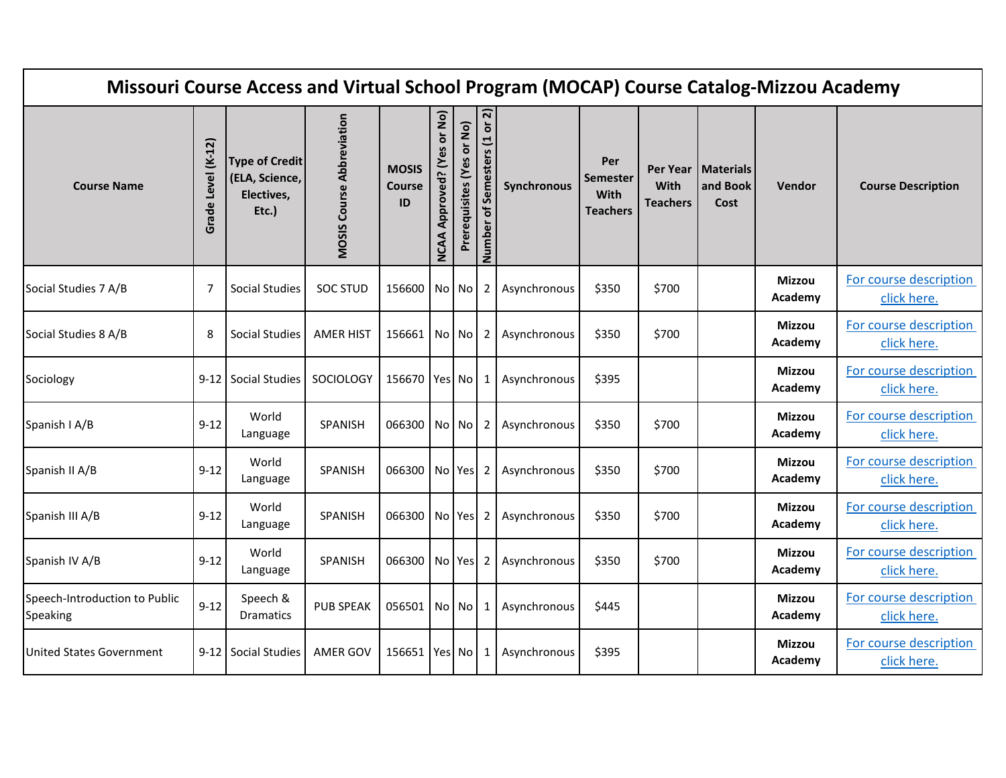| Missouri Course Access and Virtual School Program (MOCAP) Course Catalog-Mizzou Academy |                       |                                                                |                                  |                                     |                                              |                           |                                 |              |                                                   |                                     |                                      |                          |                                       |
|-----------------------------------------------------------------------------------------|-----------------------|----------------------------------------------------------------|----------------------------------|-------------------------------------|----------------------------------------------|---------------------------|---------------------------------|--------------|---------------------------------------------------|-------------------------------------|--------------------------------------|--------------------------|---------------------------------------|
| <b>Course Name</b>                                                                      | Level (K-12)<br>Grade | <b>Type of Credit</b><br>(ELA, Science,<br>Electives,<br>Etc.) | <b>MOSIS Course Abbreviation</b> | <b>MOSIS</b><br><b>Course</b><br>ID | or No)<br>မြိ<br>Approved? (Y<br><b>NCAA</b> | Prerequisites (Yes or No) | Semesters (1 or 2)<br>Number of | Synchronous  | Per<br><b>Semester</b><br>With<br><b>Teachers</b> | Per Year<br>With<br><b>Teachers</b> | <b>Materials</b><br>and Book<br>Cost | Vendor                   | <b>Course Description</b>             |
| Social Studies 7 A/B                                                                    | 7                     | Social Studies                                                 | <b>SOC STUD</b>                  | 156600 No No                        |                                              |                           | $\overline{2}$                  | Asynchronous | \$350                                             | \$700                               |                                      | <b>Mizzou</b><br>Academy | For course description<br>click here. |
| Social Studies 8 A/B                                                                    | 8                     | Social Studies                                                 | <b>AMER HIST</b>                 | 156661                              |                                              | No No                     | 2                               | Asynchronous | \$350                                             | \$700                               |                                      | <b>Mizzou</b><br>Academy | For course description<br>click here. |
| Sociology                                                                               | 9-12 l                | Social Studies                                                 | SOCIOLOGY                        | 156670 Yes No                       |                                              |                           | 1                               | Asynchronous | \$395                                             |                                     |                                      | <b>Mizzou</b><br>Academy | For course description<br>click here. |
| Spanish I A/B                                                                           | $9 - 12$              | World<br>Language                                              | SPANISH                          | 066300 No No                        |                                              |                           | 2                               | Asynchronous | \$350                                             | \$700                               |                                      | <b>Mizzou</b><br>Academy | For course description<br>click here. |
| Spanish II A/B                                                                          | $9 - 12$              | World<br>Language                                              | SPANISH                          | 066300 No Yes                       |                                              |                           | 2                               | Asynchronous | \$350                                             | \$700                               |                                      | <b>Mizzou</b><br>Academy | For course description<br>click here. |
| Spanish III A/B                                                                         | $9-12$                | World<br>Language                                              | SPANISH                          | 066300   No   Yes                   |                                              |                           | 2                               | Asynchronous | \$350                                             | \$700                               |                                      | <b>Mizzou</b><br>Academy | For course description<br>click here. |
| Spanish IV A/B                                                                          | $9 - 12$              | World<br>Language                                              | SPANISH                          | 066300   No   Yes                   |                                              |                           | 2                               | Asynchronous | \$350                                             | \$700                               |                                      | <b>Mizzou</b><br>Academy | For course description<br>click here. |
| Speech-Introduction to Public<br>Speaking                                               | $9 - 12$              | Speech &<br><b>Dramatics</b>                                   | <b>PUB SPEAK</b>                 | 056501                              |                                              | No No                     | 1                               | Asynchronous | \$445                                             |                                     |                                      | <b>Mizzou</b><br>Academy | For course description<br>click here. |
| <b>United States Government</b>                                                         | $9-12$                | <b>Social Studies</b>                                          | AMER GOV                         | 156651 Yes No                       |                                              |                           | $\mathbf 1$                     | Asynchronous | \$395                                             |                                     |                                      | <b>Mizzou</b><br>Academy | For course description<br>click here. |